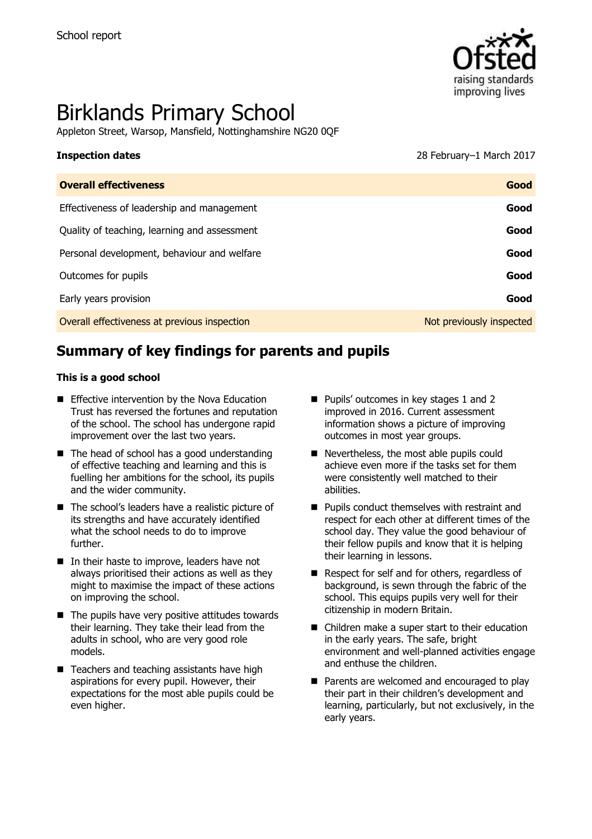

# Birklands Primary School

Appleton Street, Warsop, Mansfield, Nottinghamshire NG20 0QF

**Inspection dates** 28 February–1 March 2017

| <b>Overall effectiveness</b>                 | Good                     |
|----------------------------------------------|--------------------------|
| Effectiveness of leadership and management   | Good                     |
| Quality of teaching, learning and assessment | Good                     |
| Personal development, behaviour and welfare  | Good                     |
| Outcomes for pupils                          | Good                     |
| Early years provision                        | Good                     |
| Overall effectiveness at previous inspection | Not previously inspected |

# **Summary of key findings for parents and pupils**

#### **This is a good school**

- **Effective intervention by the Nova Education** Trust has reversed the fortunes and reputation of the school. The school has undergone rapid improvement over the last two years.
- $\blacksquare$  The head of school has a good understanding of effective teaching and learning and this is fuelling her ambitions for the school, its pupils and the wider community.
- The school's leaders have a realistic picture of its strengths and have accurately identified what the school needs to do to improve further.
- $\blacksquare$  In their haste to improve, leaders have not always prioritised their actions as well as they might to maximise the impact of these actions on improving the school.
- $\blacksquare$  The pupils have very positive attitudes towards their learning. They take their lead from the adults in school, who are very good role models.
- $\blacksquare$  Teachers and teaching assistants have high aspirations for every pupil. However, their expectations for the most able pupils could be even higher.
- **Pupils' outcomes in key stages 1 and 2** improved in 2016. Current assessment information shows a picture of improving outcomes in most year groups.
- Nevertheless, the most able pupils could achieve even more if the tasks set for them were consistently well matched to their abilities.
- **Pupils conduct themselves with restraint and** respect for each other at different times of the school day. They value the good behaviour of their fellow pupils and know that it is helping their learning in lessons.
- Respect for self and for others, regardless of background, is sewn through the fabric of the school. This equips pupils very well for their citizenship in modern Britain.
- Children make a super start to their education in the early years. The safe, bright environment and well-planned activities engage and enthuse the children.
- **Parents are welcomed and encouraged to play** their part in their children's development and learning, particularly, but not exclusively, in the early years.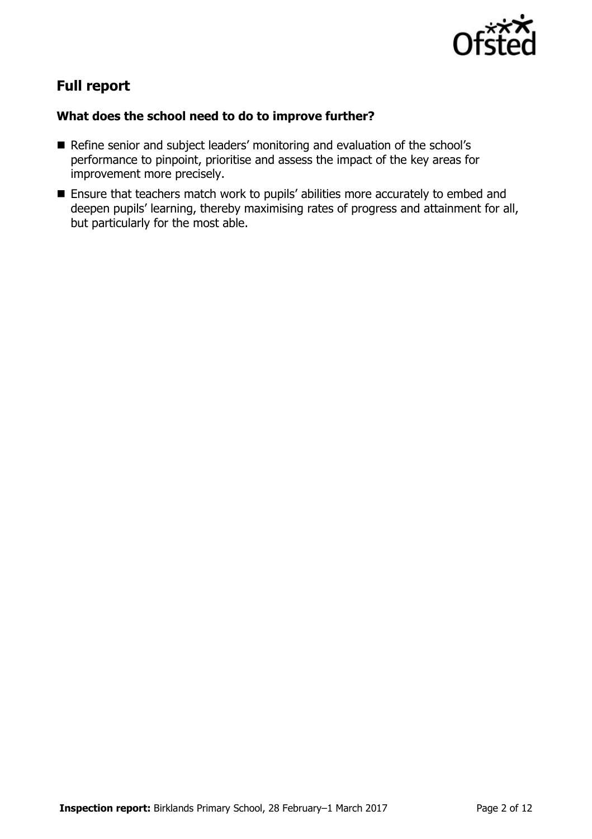

# **Full report**

### **What does the school need to do to improve further?**

- Refine senior and subject leaders' monitoring and evaluation of the school's performance to pinpoint, prioritise and assess the impact of the key areas for improvement more precisely.
- Ensure that teachers match work to pupils' abilities more accurately to embed and deepen pupils' learning, thereby maximising rates of progress and attainment for all, but particularly for the most able.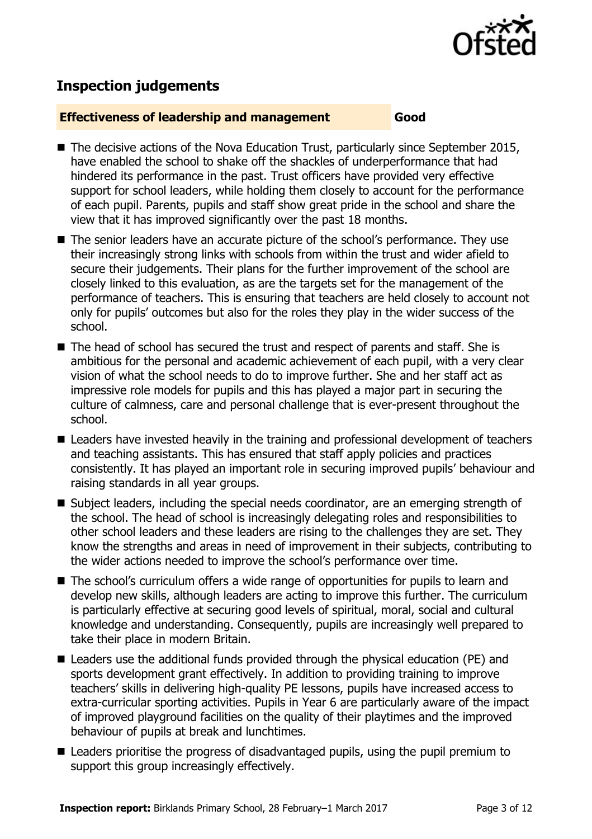

# **Inspection judgements**

#### **Effectiveness of leadership and management Good**

- $\blacksquare$  The decisive actions of the Nova Education Trust, particularly since September 2015, have enabled the school to shake off the shackles of underperformance that had hindered its performance in the past. Trust officers have provided very effective support for school leaders, while holding them closely to account for the performance of each pupil. Parents, pupils and staff show great pride in the school and share the view that it has improved significantly over the past 18 months.
- The senior leaders have an accurate picture of the school's performance. They use their increasingly strong links with schools from within the trust and wider afield to secure their judgements. Their plans for the further improvement of the school are closely linked to this evaluation, as are the targets set for the management of the performance of teachers. This is ensuring that teachers are held closely to account not only for pupils' outcomes but also for the roles they play in the wider success of the school.
- The head of school has secured the trust and respect of parents and staff. She is ambitious for the personal and academic achievement of each pupil, with a very clear vision of what the school needs to do to improve further. She and her staff act as impressive role models for pupils and this has played a major part in securing the culture of calmness, care and personal challenge that is ever-present throughout the school.
- Leaders have invested heavily in the training and professional development of teachers and teaching assistants. This has ensured that staff apply policies and practices consistently. It has played an important role in securing improved pupils' behaviour and raising standards in all year groups.
- Subject leaders, including the special needs coordinator, are an emerging strength of the school. The head of school is increasingly delegating roles and responsibilities to other school leaders and these leaders are rising to the challenges they are set. They know the strengths and areas in need of improvement in their subjects, contributing to the wider actions needed to improve the school's performance over time.
- The school's curriculum offers a wide range of opportunities for pupils to learn and develop new skills, although leaders are acting to improve this further. The curriculum is particularly effective at securing good levels of spiritual, moral, social and cultural knowledge and understanding. Consequently, pupils are increasingly well prepared to take their place in modern Britain.
- Leaders use the additional funds provided through the physical education (PE) and sports development grant effectively. In addition to providing training to improve teachers' skills in delivering high-quality PE lessons, pupils have increased access to extra-curricular sporting activities. Pupils in Year 6 are particularly aware of the impact of improved playground facilities on the quality of their playtimes and the improved behaviour of pupils at break and lunchtimes.
- Leaders prioritise the progress of disadvantaged pupils, using the pupil premium to support this group increasingly effectively.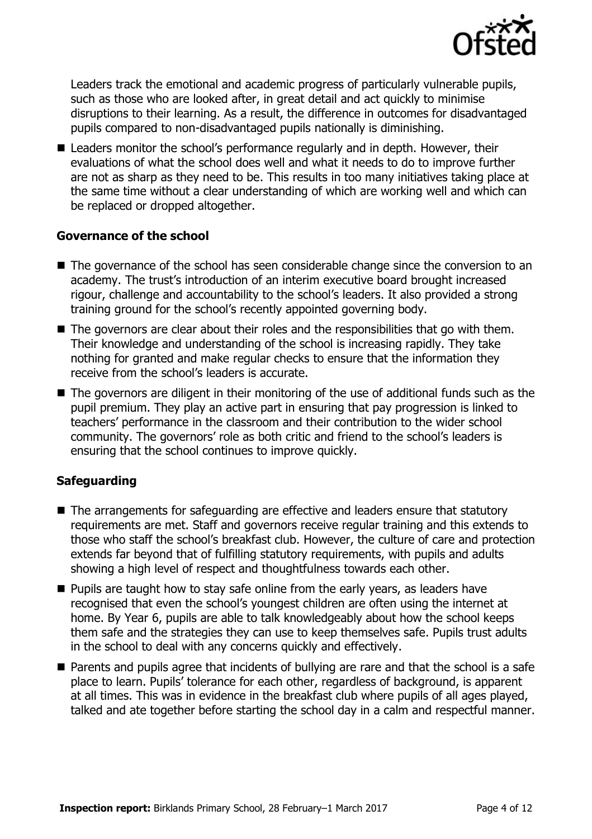

Leaders track the emotional and academic progress of particularly vulnerable pupils, such as those who are looked after, in great detail and act quickly to minimise disruptions to their learning. As a result, the difference in outcomes for disadvantaged pupils compared to non-disadvantaged pupils nationally is diminishing.

■ Leaders monitor the school's performance regularly and in depth. However, their evaluations of what the school does well and what it needs to do to improve further are not as sharp as they need to be. This results in too many initiatives taking place at the same time without a clear understanding of which are working well and which can be replaced or dropped altogether.

### **Governance of the school**

- $\blacksquare$  The governance of the school has seen considerable change since the conversion to an academy. The trust's introduction of an interim executive board brought increased rigour, challenge and accountability to the school's leaders. It also provided a strong training ground for the school's recently appointed governing body.
- The governors are clear about their roles and the responsibilities that go with them. Their knowledge and understanding of the school is increasing rapidly. They take nothing for granted and make regular checks to ensure that the information they receive from the school's leaders is accurate.
- The governors are diligent in their monitoring of the use of additional funds such as the pupil premium. They play an active part in ensuring that pay progression is linked to teachers' performance in the classroom and their contribution to the wider school community. The governors' role as both critic and friend to the school's leaders is ensuring that the school continues to improve quickly.

### **Safeguarding**

- The arrangements for safeguarding are effective and leaders ensure that statutory requirements are met. Staff and governors receive regular training and this extends to those who staff the school's breakfast club. However, the culture of care and protection extends far beyond that of fulfilling statutory requirements, with pupils and adults showing a high level of respect and thoughtfulness towards each other.
- **Pupils are taught how to stay safe online from the early years, as leaders have** recognised that even the school's youngest children are often using the internet at home. By Year 6, pupils are able to talk knowledgeably about how the school keeps them safe and the strategies they can use to keep themselves safe. Pupils trust adults in the school to deal with any concerns quickly and effectively.
- **Parents and pupils agree that incidents of bullying are rare and that the school is a safe** place to learn. Pupils' tolerance for each other, regardless of background, is apparent at all times. This was in evidence in the breakfast club where pupils of all ages played, talked and ate together before starting the school day in a calm and respectful manner.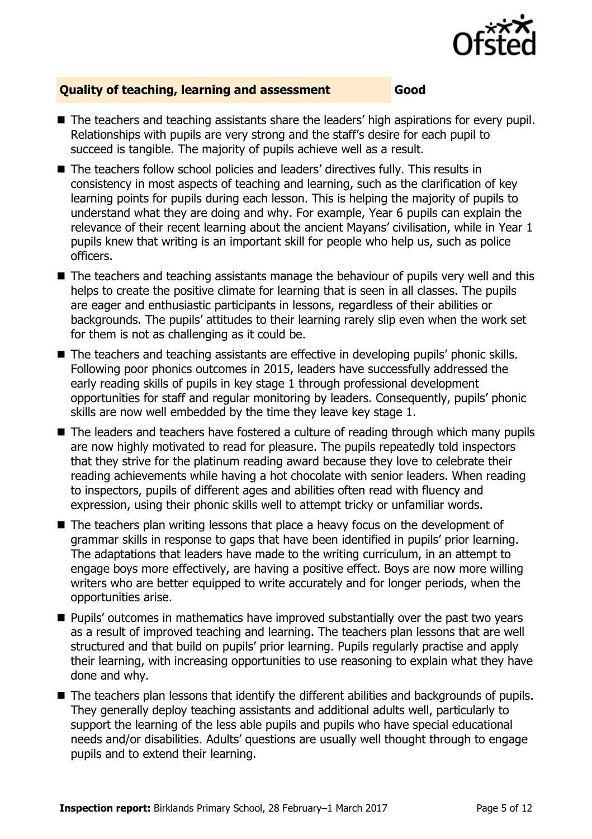

#### **Quality of teaching, learning and assessment Good**

- The teachers and teaching assistants share the leaders' high aspirations for every pupil. Relationships with pupils are very strong and the staff's desire for each pupil to succeed is tangible. The majority of pupils achieve well as a result.
- The teachers follow school policies and leaders' directives fully. This results in consistency in most aspects of teaching and learning, such as the clarification of key learning points for pupils during each lesson. This is helping the majority of pupils to understand what they are doing and why. For example, Year 6 pupils can explain the relevance of their recent learning about the ancient Mayans' civilisation, while in Year 1 pupils knew that writing is an important skill for people who help us, such as police officers.
- The teachers and teaching assistants manage the behaviour of pupils very well and this helps to create the positive climate for learning that is seen in all classes. The pupils are eager and enthusiastic participants in lessons, regardless of their abilities or backgrounds. The pupils' attitudes to their learning rarely slip even when the work set for them is not as challenging as it could be.
- The teachers and teaching assistants are effective in developing pupils' phonic skills. Following poor phonics outcomes in 2015, leaders have successfully addressed the early reading skills of pupils in key stage 1 through professional development opportunities for staff and regular monitoring by leaders. Consequently, pupils' phonic skills are now well embedded by the time they leave key stage 1.
- The leaders and teachers have fostered a culture of reading through which many pupils are now highly motivated to read for pleasure. The pupils repeatedly told inspectors that they strive for the platinum reading award because they love to celebrate their reading achievements while having a hot chocolate with senior leaders. When reading to inspectors, pupils of different ages and abilities often read with fluency and expression, using their phonic skills well to attempt tricky or unfamiliar words.
- The teachers plan writing lessons that place a heavy focus on the development of grammar skills in response to gaps that have been identified in pupils' prior learning. The adaptations that leaders have made to the writing curriculum, in an attempt to engage boys more effectively, are having a positive effect. Boys are now more willing writers who are better equipped to write accurately and for longer periods, when the opportunities arise.
- Pupils' outcomes in mathematics have improved substantially over the past two years as a result of improved teaching and learning. The teachers plan lessons that are well structured and that build on pupils' prior learning. Pupils regularly practise and apply their learning, with increasing opportunities to use reasoning to explain what they have done and why.
- The teachers plan lessons that identify the different abilities and backgrounds of pupils. They generally deploy teaching assistants and additional adults well, particularly to support the learning of the less able pupils and pupils who have special educational needs and/or disabilities. Adults' questions are usually well thought through to engage pupils and to extend their learning.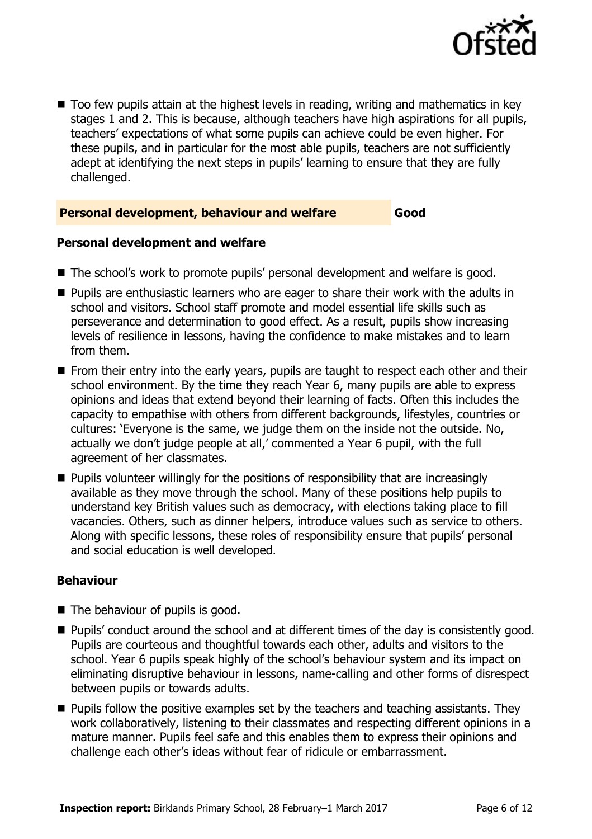

■ Too few pupils attain at the highest levels in reading, writing and mathematics in key stages 1 and 2. This is because, although teachers have high aspirations for all pupils, teachers' expectations of what some pupils can achieve could be even higher. For these pupils, and in particular for the most able pupils, teachers are not sufficiently adept at identifying the next steps in pupils' learning to ensure that they are fully challenged.

#### **Personal development, behaviour and welfare Good**

#### **Personal development and welfare**

- The school's work to promote pupils' personal development and welfare is good.
- **Pupils are enthusiastic learners who are eager to share their work with the adults in** school and visitors. School staff promote and model essential life skills such as perseverance and determination to good effect. As a result, pupils show increasing levels of resilience in lessons, having the confidence to make mistakes and to learn from them.
- From their entry into the early years, pupils are taught to respect each other and their school environment. By the time they reach Year 6, many pupils are able to express opinions and ideas that extend beyond their learning of facts. Often this includes the capacity to empathise with others from different backgrounds, lifestyles, countries or cultures: 'Everyone is the same, we judge them on the inside not the outside. No, actually we don't judge people at all,' commented a Year 6 pupil, with the full agreement of her classmates.
- **Pupils volunteer willingly for the positions of responsibility that are increasingly** available as they move through the school. Many of these positions help pupils to understand key British values such as democracy, with elections taking place to fill vacancies. Others, such as dinner helpers, introduce values such as service to others. Along with specific lessons, these roles of responsibility ensure that pupils' personal and social education is well developed.

#### **Behaviour**

- The behaviour of pupils is good.
- **Pupils' conduct around the school and at different times of the day is consistently good.** Pupils are courteous and thoughtful towards each other, adults and visitors to the school. Year 6 pupils speak highly of the school's behaviour system and its impact on eliminating disruptive behaviour in lessons, name-calling and other forms of disrespect between pupils or towards adults.
- $\blacksquare$  Pupils follow the positive examples set by the teachers and teaching assistants. They work collaboratively, listening to their classmates and respecting different opinions in a mature manner. Pupils feel safe and this enables them to express their opinions and challenge each other's ideas without fear of ridicule or embarrassment.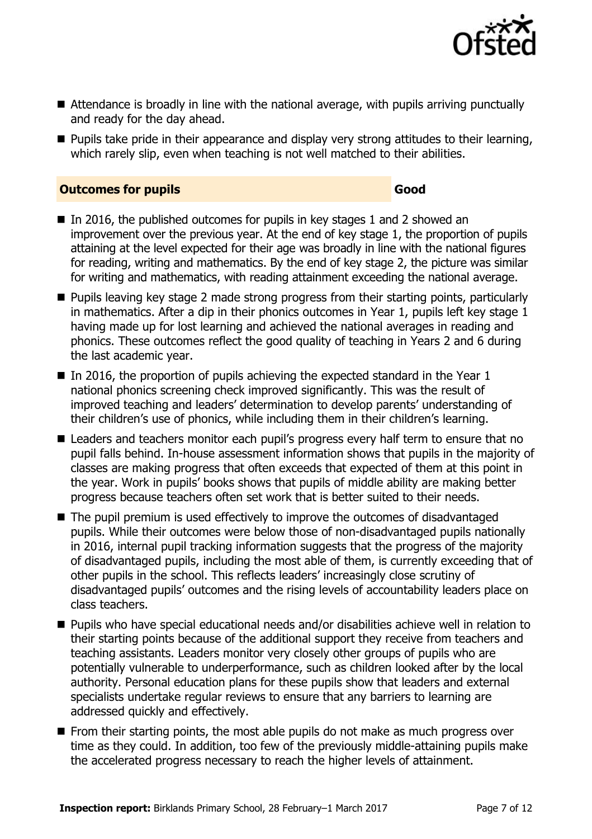

- Attendance is broadly in line with the national average, with pupils arriving punctually and ready for the day ahead.
- **Pupils take pride in their appearance and display very strong attitudes to their learning,** which rarely slip, even when teaching is not well matched to their abilities.

#### **Outcomes for pupils Good**

- In 2016, the published outcomes for pupils in key stages 1 and 2 showed an improvement over the previous year. At the end of key stage 1, the proportion of pupils attaining at the level expected for their age was broadly in line with the national figures for reading, writing and mathematics. By the end of key stage 2, the picture was similar for writing and mathematics, with reading attainment exceeding the national average.
- **Pupils leaving key stage 2 made strong progress from their starting points, particularly** in mathematics. After a dip in their phonics outcomes in Year 1, pupils left key stage 1 having made up for lost learning and achieved the national averages in reading and phonics. These outcomes reflect the good quality of teaching in Years 2 and 6 during the last academic year.
- In 2016, the proportion of pupils achieving the expected standard in the Year  $1$ national phonics screening check improved significantly. This was the result of improved teaching and leaders' determination to develop parents' understanding of their children's use of phonics, while including them in their children's learning.
- Leaders and teachers monitor each pupil's progress every half term to ensure that no pupil falls behind. In-house assessment information shows that pupils in the majority of classes are making progress that often exceeds that expected of them at this point in the year. Work in pupils' books shows that pupils of middle ability are making better progress because teachers often set work that is better suited to their needs.
- The pupil premium is used effectively to improve the outcomes of disadvantaged pupils. While their outcomes were below those of non-disadvantaged pupils nationally in 2016, internal pupil tracking information suggests that the progress of the majority of disadvantaged pupils, including the most able of them, is currently exceeding that of other pupils in the school. This reflects leaders' increasingly close scrutiny of disadvantaged pupils' outcomes and the rising levels of accountability leaders place on class teachers.
- Pupils who have special educational needs and/or disabilities achieve well in relation to their starting points because of the additional support they receive from teachers and teaching assistants. Leaders monitor very closely other groups of pupils who are potentially vulnerable to underperformance, such as children looked after by the local authority. Personal education plans for these pupils show that leaders and external specialists undertake regular reviews to ensure that any barriers to learning are addressed quickly and effectively.
- $\blacksquare$  From their starting points, the most able pupils do not make as much progress over time as they could. In addition, too few of the previously middle-attaining pupils make the accelerated progress necessary to reach the higher levels of attainment.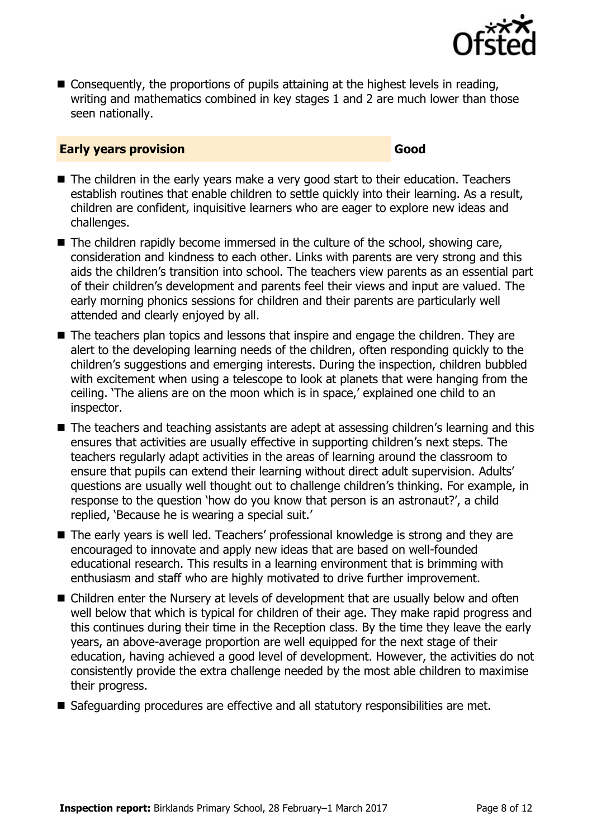

■ Consequently, the proportions of pupils attaining at the highest levels in reading, writing and mathematics combined in key stages 1 and 2 are much lower than those seen nationally.

#### **Early years provision Good Good**

- The children in the early years make a very good start to their education. Teachers establish routines that enable children to settle quickly into their learning. As a result, children are confident, inquisitive learners who are eager to explore new ideas and challenges.
- $\blacksquare$  The children rapidly become immersed in the culture of the school, showing care, consideration and kindness to each other. Links with parents are very strong and this aids the children's transition into school. The teachers view parents as an essential part of their children's development and parents feel their views and input are valued. The early morning phonics sessions for children and their parents are particularly well attended and clearly enjoyed by all.
- The teachers plan topics and lessons that inspire and engage the children. They are alert to the developing learning needs of the children, often responding quickly to the children's suggestions and emerging interests. During the inspection, children bubbled with excitement when using a telescope to look at planets that were hanging from the ceiling. 'The aliens are on the moon which is in space,' explained one child to an inspector.
- The teachers and teaching assistants are adept at assessing children's learning and this ensures that activities are usually effective in supporting children's next steps. The teachers regularly adapt activities in the areas of learning around the classroom to ensure that pupils can extend their learning without direct adult supervision. Adults' questions are usually well thought out to challenge children's thinking. For example, in response to the question 'how do you know that person is an astronaut?', a child replied, 'Because he is wearing a special suit.'
- The early years is well led. Teachers' professional knowledge is strong and they are encouraged to innovate and apply new ideas that are based on well-founded educational research. This results in a learning environment that is brimming with enthusiasm and staff who are highly motivated to drive further improvement.
- Children enter the Nursery at levels of development that are usually below and often well below that which is typical for children of their age. They make rapid progress and this continues during their time in the Reception class. By the time they leave the early years, an above-average proportion are well equipped for the next stage of their education, having achieved a good level of development. However, the activities do not consistently provide the extra challenge needed by the most able children to maximise their progress.
- Safeguarding procedures are effective and all statutory responsibilities are met.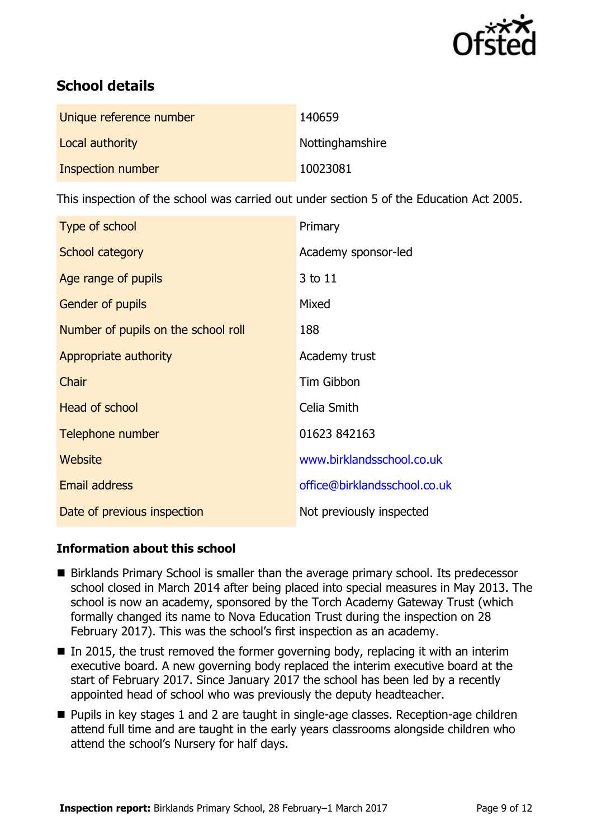

# **School details**

| Unique reference number | 140659          |
|-------------------------|-----------------|
| Local authority         | Nottinghamshire |
| Inspection number       | 10023081        |

This inspection of the school was carried out under section 5 of the Education Act 2005.

| Type of school                      | Primary                      |  |
|-------------------------------------|------------------------------|--|
| School category                     | Academy sponsor-led          |  |
| Age range of pupils                 | 3 to 11                      |  |
| Gender of pupils                    | Mixed                        |  |
| Number of pupils on the school roll | 188                          |  |
| Appropriate authority               | Academy trust                |  |
| Chair                               | Tim Gibbon                   |  |
| <b>Head of school</b>               | Celia Smith                  |  |
| Telephone number                    | 01623 842163                 |  |
| Website                             | www.birklandsschool.co.uk    |  |
| <b>Email address</b>                | office@birklandsschool.co.uk |  |
| Date of previous inspection         | Not previously inspected     |  |

### **Information about this school**

- Birklands Primary School is smaller than the average primary school. Its predecessor school closed in March 2014 after being placed into special measures in May 2013. The school is now an academy, sponsored by the Torch Academy Gateway Trust (which formally changed its name to Nova Education Trust during the inspection on 28 February 2017). This was the school's first inspection as an academy.
- In 2015, the trust removed the former governing body, replacing it with an interim executive board. A new governing body replaced the interim executive board at the start of February 2017. Since January 2017 the school has been led by a recently appointed head of school who was previously the deputy headteacher.
- Pupils in key stages 1 and 2 are taught in single-age classes. Reception-age children attend full time and are taught in the early years classrooms alongside children who attend the school's Nursery for half days.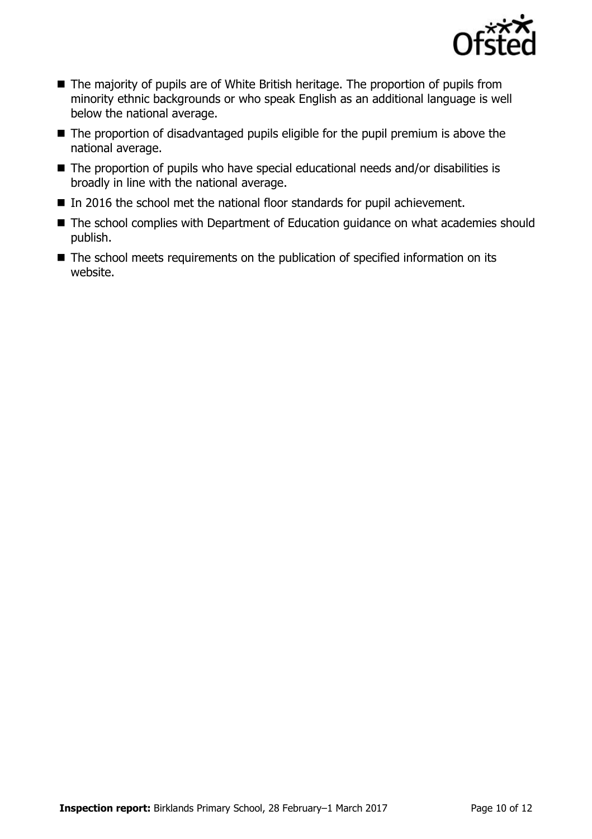

- The majority of pupils are of White British heritage. The proportion of pupils from minority ethnic backgrounds or who speak English as an additional language is well below the national average.
- The proportion of disadvantaged pupils eligible for the pupil premium is above the national average.
- The proportion of pupils who have special educational needs and/or disabilities is broadly in line with the national average.
- In 2016 the school met the national floor standards for pupil achievement.
- The school complies with Department of Education guidance on what academies should publish.
- The school meets requirements on the publication of specified information on its website.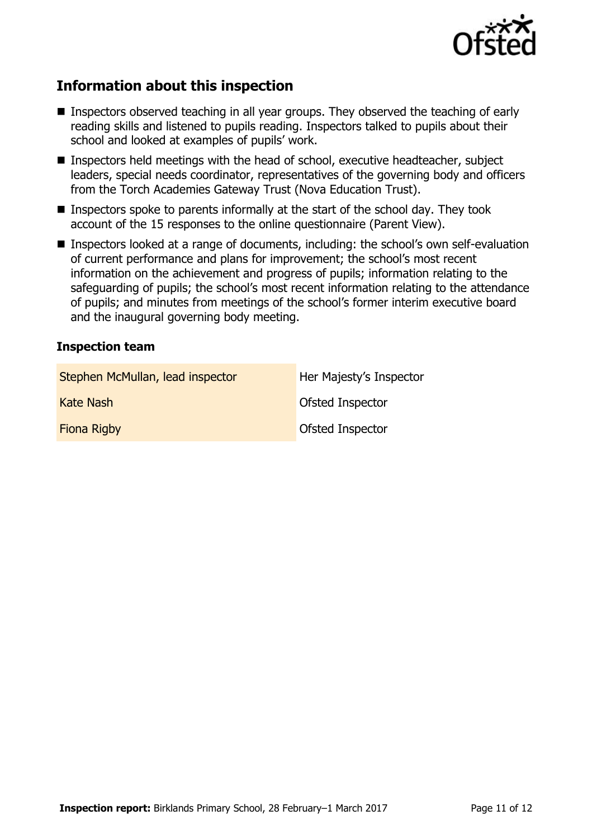

# **Information about this inspection**

- Inspectors observed teaching in all year groups. They observed the teaching of early reading skills and listened to pupils reading. Inspectors talked to pupils about their school and looked at examples of pupils' work.
- Inspectors held meetings with the head of school, executive headteacher, subject leaders, special needs coordinator, representatives of the governing body and officers from the Torch Academies Gateway Trust (Nova Education Trust).
- **Inspectors spoke to parents informally at the start of the school day. They took** account of the 15 responses to the online questionnaire (Parent View).
- Inspectors looked at a range of documents, including: the school's own self-evaluation of current performance and plans for improvement; the school's most recent information on the achievement and progress of pupils; information relating to the safeguarding of pupils; the school's most recent information relating to the attendance of pupils; and minutes from meetings of the school's former interim executive board and the inaugural governing body meeting.

#### **Inspection team**

| Stephen McMullan, lead inspector | Her Majesty's Inspector |
|----------------------------------|-------------------------|
| Kate Nash                        | Ofsted Inspector        |
| <b>Fiona Rigby</b>               | <b>Ofsted Inspector</b> |